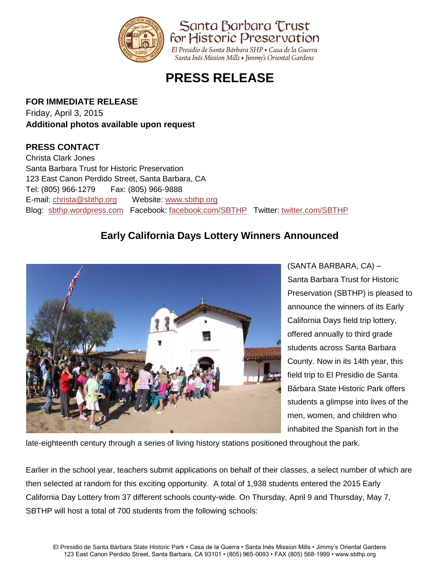

## **PRESS RELEASE**

## **FOR IMMEDIATE RELEASE**

Friday, April 3, 2015 **Additional photos available upon request**

## **PRESS CONTACT**

Christa Clark Jones Santa Barbara Trust for Historic Preservation 123 East Canon Perdido Street, Santa Barbara, CA Tel: (805) 966-1279 Fax: (805) 966-9888 E-mail: [christa@sbthp.org](mailto:christa@sbthp.org) Website: [www.sbthp.org](http://www.sbthp.org/) Blog: [sbthp.wordpress.com](http://sbthp.wordpress.com/) Facebook: [facebook.com/SBTHP](http://www.facebook.com/SBTHP) Twitter: [twitter.com/SBTHP](http://twitter.com/SBTHP)

## **Early California Days Lottery Winners Announced**



(SANTA BARBARA, CA) – Santa Barbara Trust for Historic Preservation (SBTHP) is pleased to announce the winners of its Early California Days field trip lottery, offered annually to third grade students across Santa Barbara County. Now in its 14th year, this field trip to El Presidio de Santa Bárbara State Historic Park offers students a glimpse into lives of the men, women, and children who inhabited the Spanish fort in the

late-eighteenth century through a series of living history stations positioned throughout the park.

Earlier in the school year, teachers submit applications on behalf of their classes, a select number of which are then selected at random for this exciting opportunity. A total of 1,938 students entered the 2015 Early California Day Lottery from 37 different schools county-wide. On Thursday, April 9 and Thursday, May 7, SBTHP will host a total of 700 students from the following schools: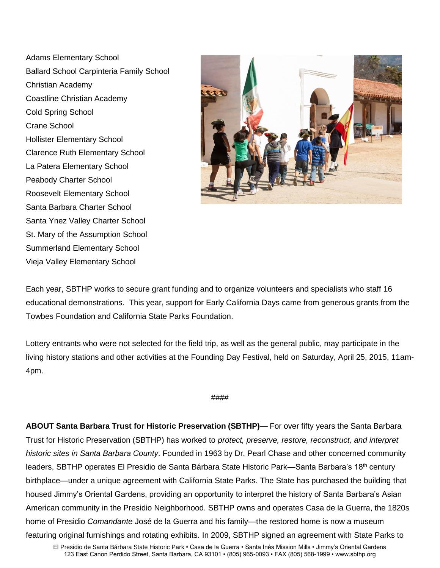Adams Elementary School Ballard School Carpinteria Family School Christian Academy Coastline Christian Academy Cold Spring School Crane School Hollister Elementary School Clarence Ruth Elementary School La Patera Elementary School Peabody Charter School Roosevelt Elementary School Santa Barbara Charter School Santa Ynez Valley Charter School St. Mary of the Assumption School Summerland Elementary School Vieja Valley Elementary School



Each year, SBTHP works to secure grant funding and to organize volunteers and specialists who staff 16 educational demonstrations. This year, support for Early California Days came from generous grants from the Towbes Foundation and California State Parks Foundation.

Lottery entrants who were not selected for the field trip, as well as the general public, may participate in the living history stations and other activities at the Founding Day Festival, held on Saturday, April 25, 2015, 11am-4pm.

####

**ABOUT Santa Barbara Trust for Historic Preservation (SBTHP)**— For over fifty years the Santa Barbara Trust for Historic Preservation (SBTHP) has worked to *protect, preserve, restore, reconstruct, and interpret historic sites in Santa Barbara County*. Founded in 1963 by Dr. Pearl Chase and other concerned community leaders, SBTHP operates El Presidio de Santa Bárbara State Historic Park—Santa Barbara's 18<sup>th</sup> century birthplace—under a unique agreement with California State Parks. The State has purchased the building that housed Jimmy's Oriental Gardens, providing an opportunity to interpret the history of Santa Barbara's Asian American community in the Presidio Neighborhood. SBTHP owns and operates Casa de la Guerra, the 1820s home of Presidio *Comandante* José de la Guerra and his family—the restored home is now a museum featuring original furnishings and rotating exhibits. In 2009, SBTHP signed an agreement with State Parks to